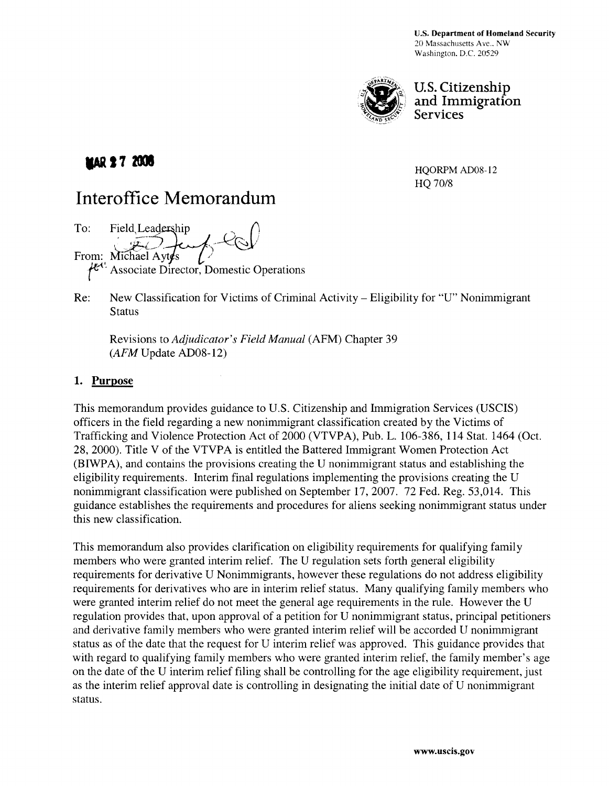

U.S. Citizenship and Immigration Services

## **IMAR 27 2005**

HQORPM AD08-12 HQ 70/8

# **Interoffice Memorandum**

To: Field Leadership From: Michael Aytes *L*<br> $\mu^{c}$ . Associate Director, Domestic Operations

Re: New Classification for Victims of Criminal Activity - Eligibility for "U" Nonimmigrant **Status** 

Revisions to *Adjudicator's Field Manual* (AFM) Chapter 39 *(AFM* Update AD08-12)

#### 1. Purpose

This memorandum provides guidance to U.S. Citizenship and Immigration Services (USCIS) officers in the field regarding a new nonimmigrant classification created by the Victims of Trafficking and Violence Protection Act of 2000 (VTVPA), Pub. L. 106-386, 114 Stat. 1464 (Oct. 28,2000). Title V of the VTVPA is entitled the Battered Immigrant Women Protection Act (BIWP A), and contains the provisions creating the U nonimmigrant status and establishing the eligibility requirements. Interim final regulations implementing the provisions creating the U nonimmigrant classification were published on September 17,2007. 72 Fed. Reg. 53,014. This guidance establishes the requirements and procedures for aliens seeking nonimmigrant status under this new classification.

This memorandum also provides clarification on eligibility requirements for qualifying family members who were granted interim relief. The U regulation sets forth general eligibility requirements for derivative U Nonimmigrants, however these regulations do not address eligibility requirements for derivatives who are in interim relief status. Many qualifying family members who were granted interim relief do not meet the general age requirements in the rule. However the U regulation provides that, upon approval of a petition for U nonimmigrant status, principal petitioners and derivative family members who were granted interim relief will be accorded U nonimmigrant status as of the date that the request for U interim relief was approved. This guidance provides that with regard to qualifying family members who were granted interim relief, the family member's age on the date of the U interim relief filing shall be controlling for the age eligibility requirement, just as the interim relief approval date is controlling in designating the initial date of U nonimmigrant status.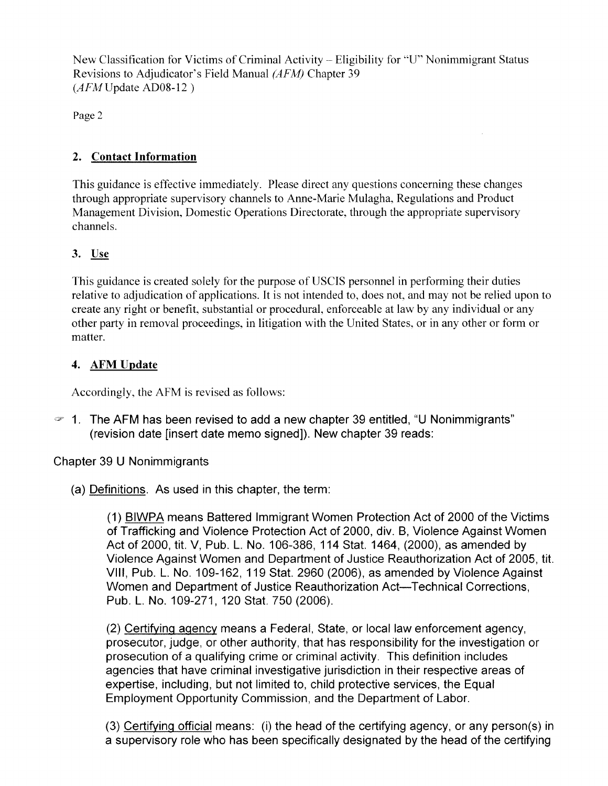Page 2

## 2. Contact Information

This guidance is effective immediately. Please direct any questions concerning these changes through appropriate supervisory channels to Anne-Marie Mulagha, Regulations and Product Management Division, Domestic Operations Directorate, through the appropriate supervisory channels.

## 3. Use

This guidance is created solely for the purpose of USCIS personnel in performing their duties relative to adjudication of applications. It is not intended to, does not, and may not be relied upon to create any right or benefit, substantial or procedural, enforceable at law by any individual or any other party in removal proceedings, in litigation with the United States, or in any other or form or matter.

## 4. AFM Update

Accordingly, the AFM is revised as follows:

 $\approx$  1. The AFM has been revised to add a new chapter 39 entitled, "U Nonimmigrants" (revision date [insert date memo signed]). New chapter 39 reads:

## Chapter 39 U Nonimmigrants

(a) Definitions. As used in this chapter, the term:

(1) BIWPA means Battered Immigrant Women Protection Act of 2000 of the Victims of Trafficking and Violence Protection Act of 2000, div. B, Violence Against Women Act of 2000, tit. V, Pub. L. No. 106-386, 114 Stat. 1464, (2000), as amended by Violence Against Women and Department of Justice Reauthorization Act of 2005, tit. VIII, Pub. L. No. 109-162, 119 Stat. 2960 (2006), as amended by Violence Against Women and Department of Justice Reauthorization Act-Technical Corrections, PUb. L. No.1 09-271, 120 Stat. 750 (2006).

(2) Certifying agency means a Federal, State, or local law enforcement agency, prosecutor, judge, or other authority, that has responsibility for the investigation or prosecution of a qualifying crime or criminal activity. This definition includes agencies that have criminal investigative jurisdiction in their respective areas of expertise, including, but not limited to, child protective services, the Equal Employment Opportunity Commission, and the Department of Labor.

(3) Certifying official means: (i) the head of the certifying agency, or any person(s) in a supervisory role who has been specifically designated by the head of the certifying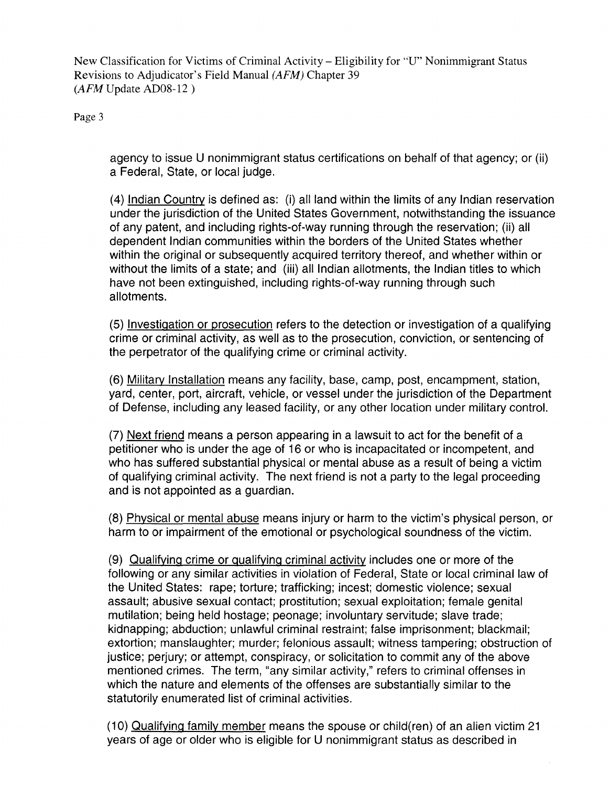Page 3

agency to issue U nonimmigrant status certifications on behalf of that agency; or (ii) a Federal, State, or local judge.

(4) Indian Country is defined as: (i) all land within the limits of any Indian reservation under the jurisdiction of the United States Government, notwithstanding the issuance of any patent, and including rights-of-way running through the reservation; (ii) all dependent Indian communities within the borders of the United States whether within the original or subsequently acquired territory thereof, and whether within or without the limits of a state; and (iii) all Indian allotments, the Indian titles to which have not been extinguished, including rights-of-way running through such allotments.

(5) Investigation or prosecution refers to the detection or investigation of a qualifying crime or criminal activity, as well as to the prosecution, conviction, or sentencing of the perpetrator of the qualifying crime or criminal activity.

(6) Military Installation means any facility, base, camp, post, encampment, station, yard, center, port, aircraft, vehicle, or vessel under the jurisdiction of the Department of Defense, including any leased facility, or any other location under military control.

(7) Next friend means a person appearing in a lawsuit to act for the benefit of a petitioner who is under the age of 16 or who is incapacitated or incompetent, and who has suffered substantial physical or mental abuse as a result of being a victim of qualifying criminal activity. The next friend is not a party to the legal proceeding and is not appointed as a guardian.

(8) PhYSical or mental abuse means injury or harm to the victim's physical person, or harm to or impairment of the emotional or psychological soundness of the victim.

(9) Qualifying crime or qualifying criminal activity includes one or more of the following or any similar activities in violation of Federal, State or local criminal law of the United States: rape; torture; trafficking; incest; domestic violence; sexual assault; abusive sexual contact; prostitution; sexual exploitation; female genital mutilation; being held hostage; peonage; involuntary servitude; slave trade; kidnapping; abduction; unlawful criminal restraint; false imprisonment; blackmail; extortion; manslaughter; murder; felonious assault; witness tampering; obstruction of justice; perjury; or attempt, conspiracy, or solicitation to commit any of the above mentioned crimes. The term, "any similar activity," refers to criminal offenses in which the nature and elements of the offenses are substantially similar to the statutorily enumerated list of criminal activities.

(10) Qualifying family member means the spouse or child(ren) of an alien victim 21 years of age or older who is eligible for U nonimmigrant status as described in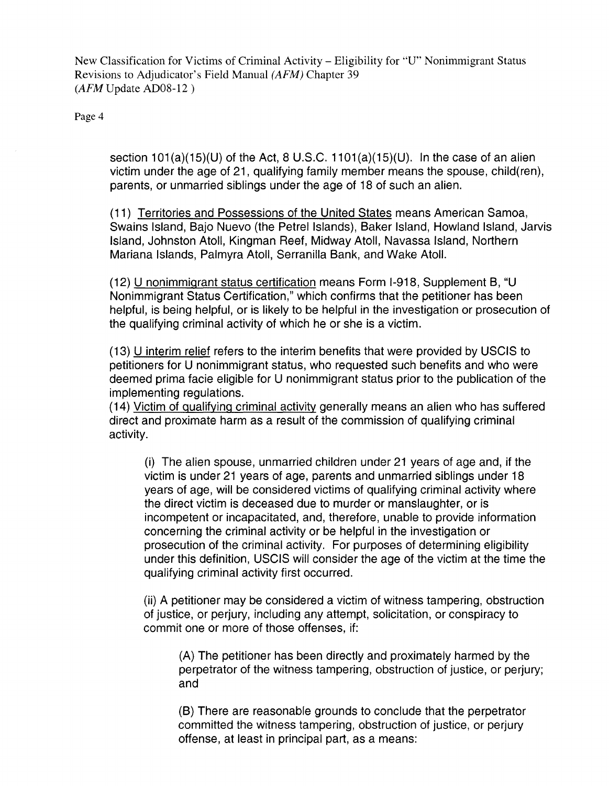Page 4

section  $101(a)(15)(U)$  of the Act, 8 U.S.C.  $1101(a)(15)(U)$ . In the case of an alien victim under the age of 21, qualifying family member means the spouse, child(ren), parents, or unmarried siblings under the age of 18 of such an alien.

(11) Territories and Possessions of the United States means American Samoa, Swains Island, Bajo Nuevo (the Petrel Islands), Baker Island, Howland Island, Jarvis Island, Johnston Atoll, Kingman Reef, Midway Atoll, Navassa Island, Northern Mariana Islands, Palmyra Atoll, Serranilla Bank, and Wake Atoll.

(12) U nonimmigrant status certification means Form 1-918, Supplement B, "U Nonimmigrant Status Certification," which confirms that the petitioner has been helpful, is being helpful, or is likely to be helpful in the investigation or prosecution of the qualifying criminal activity of which he or she is a victim.

(13) U interim relief refers to the interim benefits that were provided by USCIS to petitioners for U nonimmigrant status, who requested such benefits and who were deemed prima facie eligible for U nonimmigrant status prior to the publication of the implementing regulations.

(14) Victim of qualifying criminal activity generally means an alien who has suffered direct and proximate harm as a result of the commission of qualifying criminal activity.

(i) The alien spouse, unmarried children under 21 years of age and, if the victim is under 21 years of age, parents and unmarried siblings under 18 years of age, will be considered victims of qualifying criminal activity where the direct victim is deceased due to murder or manslaughter, or is incompetent or incapacitated, and, therefore, unable to provide information concerning the criminal activity or be helpful in the investigation or prosecution of the criminal activity. For purposes of determining eligibility under this definition, USCIS will consider the age of the victim at the time the qualifying criminal activity first occurred.

(ii) A petitioner may be considered a victim of witness tampering, obstruction of justice, or perjury, including any attempt, solicitation, or conspiracy to commit one or more of those offenses, if:

(A) The petitioner has been directly and proximately harmed by the perpetrator of the witness tampering, obstruction of justice, or perjury; and

(B) There are reasonable grounds to conclude that the perpetrator committed the witness tampering, obstruction of justice, or perjury offense, at least in principal part, as a means: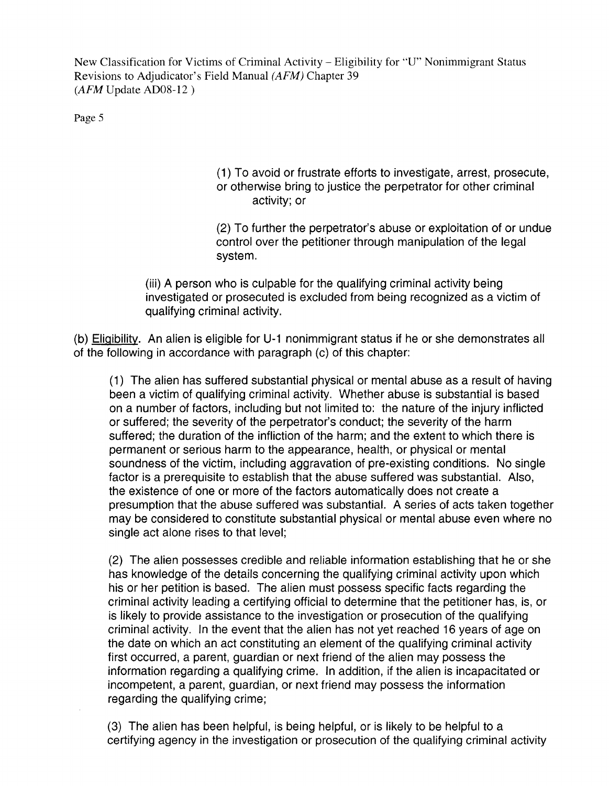Page 5

(1) To avoid or frustrate efforts to investigate, arrest, prosecute, or otherwise bring to justice the perpetrator for other criminal activity; or

(2) To further the perpetrator's abuse or exploitation of or undue control over the petitioner through manipulation of the legal system.

(iii) A person who is culpable for the qualifying criminal activity being investigated or prosecuted is excluded from being recognized as a victim of qualifying criminal activity.

(b) Eligibility. An alien is eligible for U-1 nonimmigrant status if he or she demonstrates all of the following in accordance with paragraph (c) of this chapter:

(1) The alien has suffered substantial physical or mental abuse as a result of having been a victim of qualifying criminal activity. Whether abuse is substantial is based on a number of factors, including but not limited to: the nature of the injury inflicted or suffered; the severity of the perpetrator's conduct; the severity of the harm suffered; the duration of the infliction of the harm; and the extent to which there is permanent or serious harm to the appearance, health, or physical or mental soundness of the victim, including aggravation of pre-existing conditions. No single factor is a prerequisite to establish that the abuse suffered was substantial. Also, the existence of one or more of the factors automatically does not create a presumption that the abuse suffered was substantial. A series of acts taken together may be considered to constitute substantial physical or mental abuse even where no single act alone rises to that level;

(2) The alien possesses credible and reliable information establishing that he or she has knowledge of the details concerning the qualifying criminal activity upon which his or her petition is based. The alien must possess specific facts regarding the criminal activity leading a certifying official to determine that the petitioner has, is, or is likely to provide assistance to the investigation or prosecution of the qualifying criminal activity. In the event that the alien has not yet reached 16 years of age on the date on which an act constituting an element of the qualifying criminal activity first occurred, a parent, guardian or next friend of the alien may possess the information regarding a qualifying crime. In addition, if the alien is incapacitated or incompetent, a parent, guardian, or next friend may possess the information regarding the qualifying crime;

(3) The alien has been helpful, is being helpful, or is likely to be helpful to a certifying agency in the investigation or prosecution of the qualifying criminal activity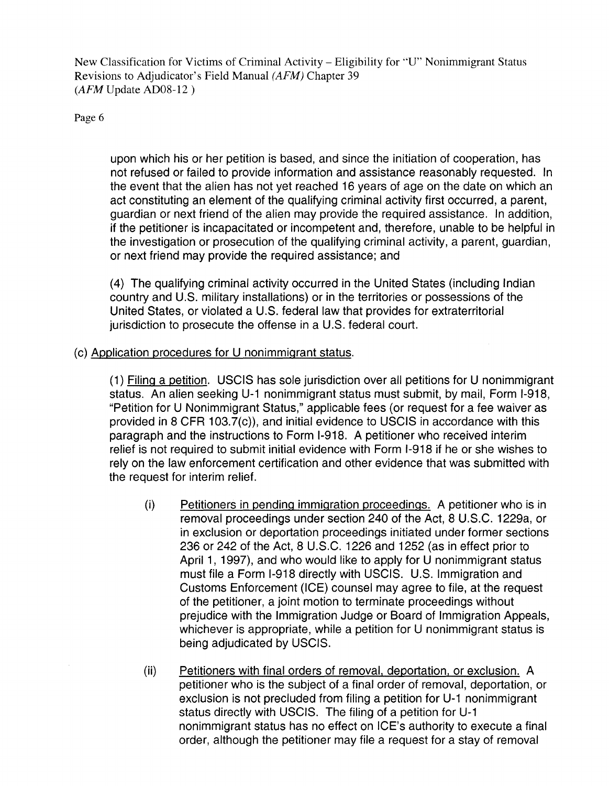Page 6

upon which his or her petition is based, and since the initiation of cooperation, has not refused or failed to provide information and assistance reasonably requested. In the event that the alien has not yet reached 16 years of age on the date on which an act constituting an element of the qualifying criminal activity first occurred, a parent, guardian or next friend of the alien may provide the required assistance. In addition, if the petitioner is incapacitated or incompetent and, therefore, unable to be helpful in the investigation or prosecution of the qualifying criminal activity, a parent, guardian, or next friend may provide the required assistance; and

(4) The qualifying criminal activity occurred in the United States (including Indian country and U.S. military installations) or in the territories or possessions of the United States, or violated a U.S. federal law that provides for extraterritorial jurisdiction to prosecute the offense in a U.S. federal court.

#### (c) Application procedures for U nonimmigrant status.

(1) Filing a petition. USCIS has sole jurisdiction over all petitions for U nonimmigrant status. An alien seeking U-1 nonimmigrant status must submit, by mail, Form I-918, "Petition for U Nonimmigrant Status," applicable fees (or request for a fee waiver as provided in 8 CFR 103.7(c)), and initial evidence to USCIS in accordance with this paragraph and the instructions to Form 1-918. A petitioner who received interim relief is not required to submit initial evidence with Form 1-918 if he or she wishes to rely on the law enforcement certification and other evidence that was submitted with the request for interim relief.

- (i) Petitioners in pending immigration proceedings. A petitioner who is in removal proceedings under section 240 of the Act, 8 U.S.C. 1229a, or in exclusion or deportation proceedings initiated under former sections 236 or 242 of the Act, 8 U.S.C. 1226 and 1252 (as in effect prior to April 1, 1997), and who would like to apply for U nonimmigrant status must file a Form 1-918 directly with USCIS. U.S. Immigration and Customs Enforcement (ICE) counsel may agree to file, at the request of the petitioner, a joint motion to terminate proceedings without prejudice with the Immigration Judge or Board of Immigration Appeals, whichever is appropriate, while a petition for U nonimmigrant status is being adjudicated by USCIS.
- (ii) Petitioners with final orders of removal, deportation, or exclusion. A petitioner who is the subject of a final order of removal, deportation, or exclusion is not precluded from filing a petition for U-1 nonimmigrant status directly with USCIS. The filing of a petition for U-1 nonimmigrant status has no effect on ICE's authority to execute a final order, although the petitioner may file a request for a stay of removal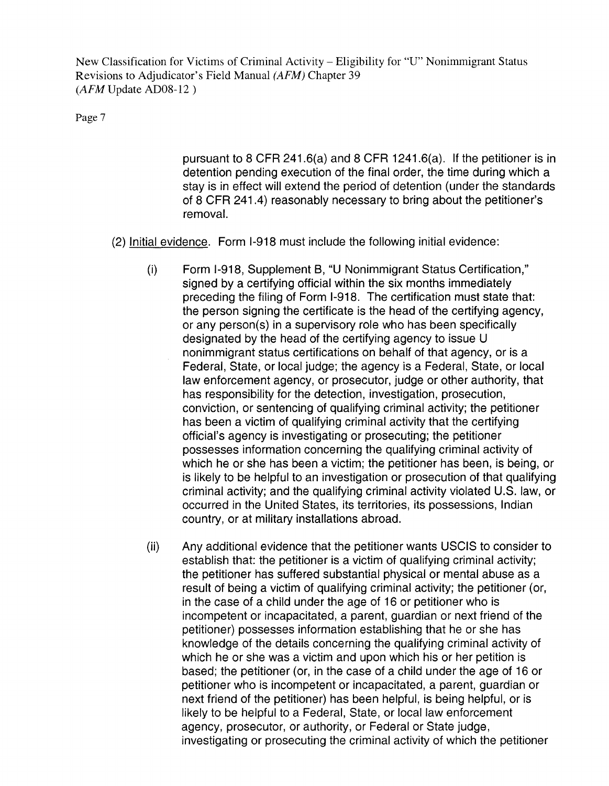#### Page 7

pursuant to 8 CFR 241.6(a) and 8 CFR 1241.6(a). If the petitioner is in detention pending execution of the final order, the time during which a stay is in effect will extend the period of detention (under the standards of 8 CFR 241.4) reasonably necessary to bring about the petitioner's removal.

- (2) Initial evidence. Form 1-918 must include the following initial evidence:
	- (i) Form 1-918, Supplement S, "U Nonimmigrant Status Certification," signed by a certifying official within the six months immediately preceding the filing of Form 1-918. The certification must state that: the person signing the certificate is the head of the certifying agency, or any person(s) in a supervisory role who has been specifically designated by the head of the certifying agency to issue U nonimmigrant status certifications on behalf of that agency, or is a Federal, State, or local judge; the agency is a Federal, State, or local law enforcement agency, or prosecutor, judge or other authority, that has responsibility for the detection, investigation, prosecution, conviction, or sentencing of qualifying criminal activity; the petitioner has been a victim of qualifying criminal activity that the certifying official's agency is investigating or prosecuting; the petitioner possesses information concerning the qualifying criminal activity of which he or she has been a victim; the petitioner has been, is being, or is likely to be helpful to an investigation or prosecution of that qualifying criminal activity; and the qualifying criminal activity violated U.S. law, or occurred in the United States, its territories, its possessions, Indian country, or at military installations abroad.
	- (ii) Any additional evidence that the petitioner wants USCIS to consider to establish that: the petitioner is a victim of qualifying criminal activity; the petitioner has suffered substantial physical or mental abuse as a result of being a victim of qualifying criminal activity; the petitioner (or, in the case of a child under the age of 16 or petitioner who is incompetent or incapacitated, a parent, guardian or next friend of the petitioner) possesses information establishing that he or she has knowledge of the details concerning the qualifying criminal activity of which he or she was a victim and upon which his or her petition is based; the petitioner (or, in the case of a child under the age of 16 or petitioner who is incompetent or incapacitated, a parent, guardian or next friend of the petitioner) has been helpful, is being helpful, or is likely to be helpful to a Federal, State, or local law enforcement agency, prosecutor, or authority, or Federal or State judge, investigating or prosecuting the criminal activity of which the petitioner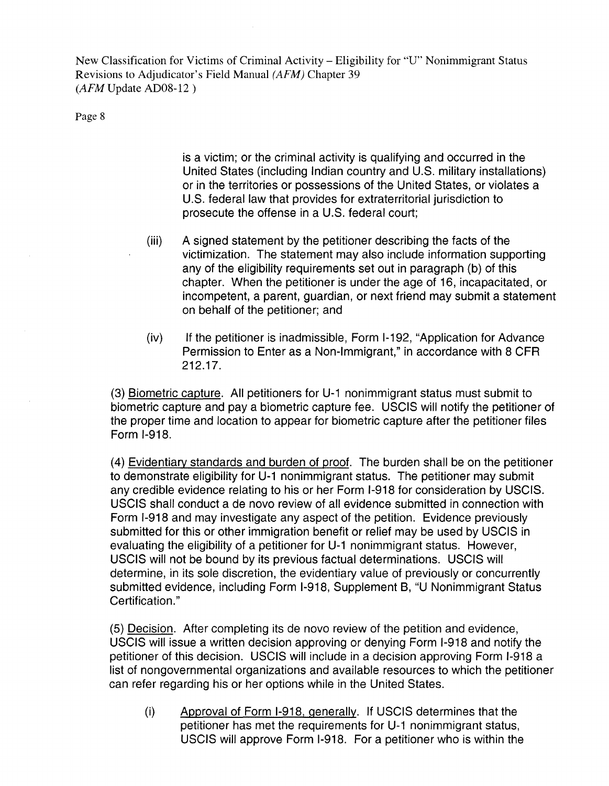Page 8

is a victim; or the criminal activity is qualifying and occurred in the United States (including Indian country and U.S. military installations) or in the territories or possessions of the United States, or violates a U.S. federal law that provides for extraterritorial jurisdiction to prosecute the offense in a U.S. federal court;

- (iii) A signed statement by the petitioner describing the facts of the victimization. The statement may also include information supporting any of the eligibility requirements set out in paragraph (b) of this chapter. When the petitioner is under the age of 16, incapacitated, or incompetent, a parent, guardian, or next friend may submit a statement on behalf of the petitioner; and
- (iv) If the petitioner is inadmissible, Form 1-192, "Application for Advance Permission to Enter as a Non-Immigrant," in accordance with 8 CFR 212.17.

(3) Biometric capture. All petitioners for U-1 nonimmigrant status must submit to biometric capture and pay a biometric capture fee. USCIS will notify the petitioner of the proper time and location to appear for biometric capture after the petitioner files Form 1-918.

(4) Evidentiary standards and burden of proof. The burden shall be on the petitioner to demonstrate eligibility for U-1 nonimmigrant status. The petitioner may submit any credible evidence relating to his or her Form 1-918 for consideration by USCIS. USCIS shall conduct a de novo review of all evidence submitted in connection with Form 1-918 and may investigate any aspect of the petition. Evidence previously submitted for this or other immigration benefit or relief may be used by USCIS in evaluating the eligibility of a petitioner for U-1 nonimmigrant status. However, USCIS will not be bound by its previous factual determinations. USCIS will determine, in its sole discretion, the evidentiary value of previously or concurrently submitted evidence, including Form 1-918, Supplement B, "U Nonimmigrant Status Certification."

(5) Decision. After completing its de novo review of the petition and evidence, USCIS will issue a written decision approving or denying Form 1-918 and notify the petitioner of this decision. USCIS will include in a decision approving Form 1-918 a list of nongovernmental organizations and available resources to which the petitioner can refer regarding his or her options while in the United States.

(i) Approval of Form 1-918, generally. If USCIS determines that the petitioner has met the requirements for U-1 nonimmigrant status, USCIS will approve Form 1-918. For a petitioner who is within the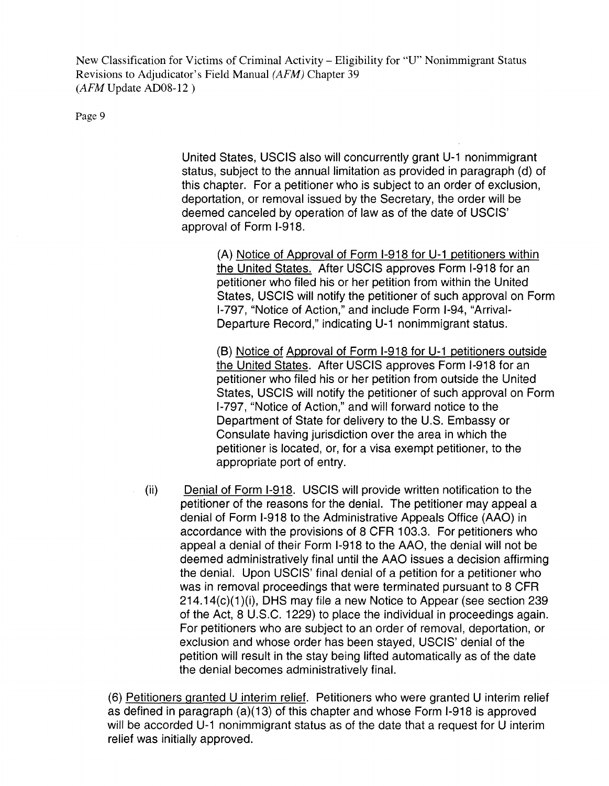Page 9

United States, USCIS also will concurrently grant U-1 nonimmigrant status, subject to the annual limitation as provided in paragraph (d) of this chapter. For a petitioner who is subject to an order of exclusion, deportation, or removal issued by the Secretary, the order will be deemed canceled by operation of law as of the date of USCIS' approval of Form 1-918.

(A) Notice of Approval of Form 1-918 for U-1 petitioners within the United States. After USCIS approves Form 1-918 for an petitioner who filed his or her petition from within the United States, USCIS will notify the petitioner of such approval on Form 1-797, "Notice of Action," and include Form 1-94, "Arrival-Departure Record," indicating U-1 nonimmigrant status.

(8) Notice of Approval of Form 1-918 for U-1 petitioners outside the United States. After USCIS approves Form 1-918 for an petitioner who filed his or her petition from outside the United States, USCIS will notify the petitioner of such approval on Form 1-797, "Notice of Action," and will forward notice to the Department of State for delivery to the U.S. Embassy or Consulate having jurisdiction over the area in which the petitioner is located, or, for a visa exempt petitioner, to the appropriate port of entry.

(ii) Denial of Form 1-918. USCIS will provide written notification to the petitioner of the reasons for the denial. The petitioner may appeal a denial of Form 1-918 to the Administrative Appeals Office (AAO) in accordance with the provisions of 8 CFR 103.3. For petitioners who appeal a denial of their Form 1-918 to the AAO, the denial will not be deemed administratively final until the AAO issues a decision affirming the denial. Upon USCIS' final denial of a petition for a petitioner who was in removal proceedings that were terminated pursuant to 8 CFR 214.14(c)(1 )(i), DHS may file a new Notice to Appear (see section 239 of the Act, 8 U.S.C. 1229) to place the individual in proceedings again. For petitioners who are subject to an order of removal, deportation, or exclusion and whose order has been stayed, USCIS' denial of the petition will result in the stay being lifted automatically as of the date the denial becomes administratively final.

(6) Petitioners granted U interim relief. Petitioners who were granted U interim relief as defined in paragraph (a)(13) of this chapter and whose Form 1-918 is approved will be accorded U-1 nonimmigrant status as of the date that a request for U interim relief was initially approved.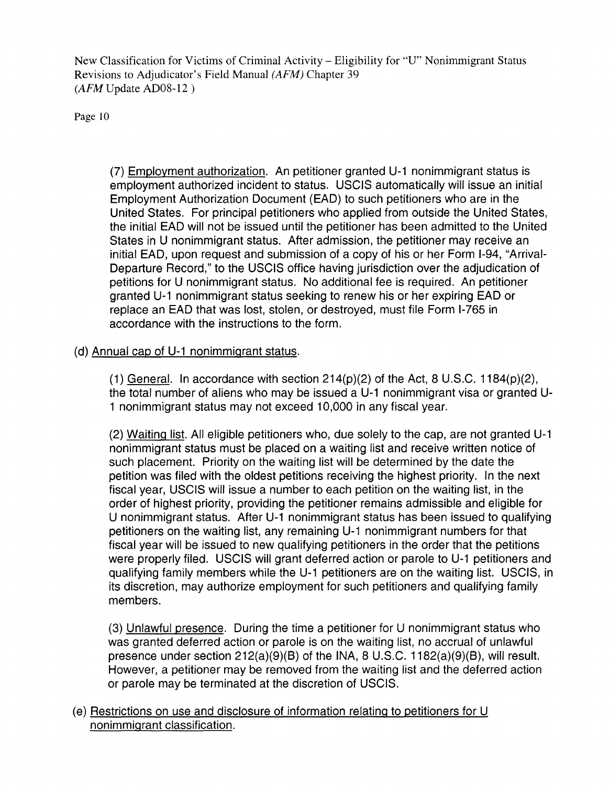Page 10

(7) Employment authorization. An petitioner granted U-1 nonimmigrant status is employment authorized incident to status. USCIS automatically will issue an initial Employment Authorization Document (EAD) to such petitioners who are in the United States. For principal petitioners who applied from outside the United States, the initial EAD will not be issued until the petitioner has been admitted to the United States in U nonimmigrant status. After admission, the petitioner may receive an initial EAD, upon request and submission of a copy of his or her Form 1-94, "Arrival-Departure Record," to the USCIS office having jurisdiction over the adjudication of petitions for U nonimmigrant status. No additional fee is required. An petitioner granted U-1 nonimmigrant status seeking to renew his or her expiring EAD or replace an EAD that was lost, stolen, or destroyed, must file Form 1-765 in accordance with the instructions to the form.

#### (d) Annual cap of U-1 nonimmigrant status.

(1) General. In accordance with section  $214(p)(2)$  of the Act, 8 U.S.C. 1184 $(p)(2)$ , the total number of aliens who may be issued a U-1 nonimmigrant visa or granted U-1 nonimmigrant status may not exceed 10,000 in any fiscal year.

(2) Waiting list. All eligible petitioners who, due solely to the cap, are not granted U-1 nonimmigrant status must be placed on a waiting list and receive written notice of such placement. Priority on the waiting list will be determined by the date the petition was filed with the oldest petitions receiving the highest priority. In the next fiscal year, USCIS will issue a number to each petition on the waiting list, in the order of highest priority, providing the petitioner remains admissible and eligible for U nonimmigrant status. After U-1 nonimmigrant status has been issued to qualifying petitioners on the waiting list, any remaining U-1 nonimmigrant numbers for that fiscal year will be issued to new qualifying petitioners in the order that the petitions were properly filed. USCIS will grant deferred action or parole to U-1 petitioners and qualifying family members while the U-1 petitioners are on the waiting list. USCIS, in its discretion, may authorize employment for such petitioners and qualifying family members.

(3) Unlawful presence. During the time a petitioner for U nonimmigrant status who was granted deferred action or parole is on the waiting list, no accrual of unlawful presence under section 212(a)(9)(B) of the INA, 8 U.S.C. 1182(a)(9)(B), will result. However, a petitioner may be removed from the waiting list and the deferred action or parole may be terminated at the discretion of USCIS.

(e) Restrictions on use and disclosure of information relating to petitioners for U nonimmigrant classification.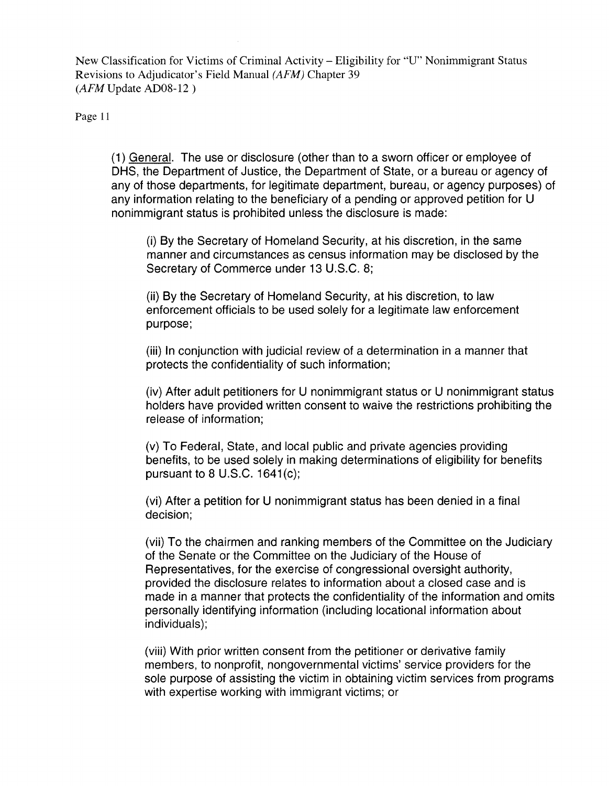Page 11

(1) General. The use or disclosure (other than to a sworn officer or employee of DHS, the Department of Justice, the Department of State, or a bureau or agency of any of those departments, for legitimate department, bureau, or agency purposes) of any information relating to the beneficiary of a pending or approved petition for U nonimmigrant status is prohibited unless the disclosure is made:

(i) By the Secretary of Homeland Security, at his discretion, in the same manner and circumstances as census information may be disclosed by the Secretary of Commerce under 13 U.S.C. 8;

(ii) By the Secretary of Homeland Security, at his discretion, to law enforcement officials to be used solely for a legitimate law enforcement purpose;

(iii) In conjunction with judicial review of a determination in a manner that protects the confidentiality of such information;

(iv) After adult petitioners for U nonimmigrant status or U nonimmigrant status holders have provided written consent to waive the restrictions prohibiting the release of information;

(v) To Federal, State, and local public and private agencies providing benefits, to be used solely in making determinations of eligibility for benefits pursuant to  $8$  U.S.C. 1641 $(c)$ ;

(vi) After a petition for U nonimmigrant status has been denied in a final decision;

(vii) To the chairmen and ranking members of the Committee on the Judiciary of the Senate or the Committee on the Judiciary of the House of Representatives, for the exercise of congressional oversight authority, provided the disclosure relates to information about a closed case and is made in a manner that protects the confidentiality of the information and omits personally identifying information (including locational information about individuals);

(viii) With prior written consent from the petitioner or derivative family members, to nonprofit, nongovernmental victims' service providers for the sole purpose of assisting the victim in obtaining victim services from programs with expertise working with immigrant victims; or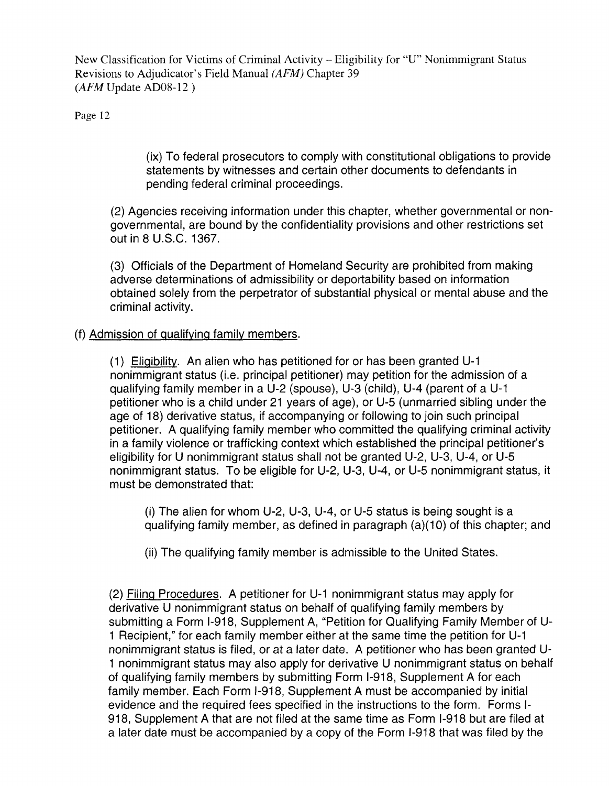Page 12

(ix) To federal prosecutors to comply with constitutional obligations to provide statements by witnesses and certain other documents to defendants in pending federal criminal proceedings.

(2) Agencies receiving information under this chapter, whether governmental or nongovernmental, are bound by the confidentiality provisions and other restrictions set out in 8 U.S.C. 1367.

(3) Officials of the Department of Homeland Security are prohibited from making adverse determinations of admissibility or deportability based on information obtained solely from the perpetrator of substantial physical or mental abuse and the criminal activity.

#### (f) Admission of qualifying family members.

(1) Eligibility. An alien who has petitioned for or has been granted U-1 nonimmigrant status (i.e. principal petitioner) may petition for the admission of a qualifying family member in a U-2 (spouse), U-3 (child), U-4 (parent of a U-1 petitioner who is a child under 21 years of age), or U-5 (unmarried sibling under the age of 18) derivative status, if accompanying or following to join such principal petitioner. A qualifying family member who committed the qualifying criminal activity in a family violence or trafficking context which established the principal petitioner's eligibility for U nonimmigrant status shall not be granted U-2, U-3, U-4, or U-5 nonimmigrant status. To be eligible for U-2, U-3, U-4, or U-5 nonimmigrant status, it must be demonstrated that:

(i) The alien for whom U-2, U-3, U-4, or U-5 status is being sought is a qualifying family member, as defined in paragraph (a)(1 0) of this chapter; and

(ii) The qualifying family member is admissible to the United States.

(2) Filing Procedures. A petitioner for U-1 nonimmigrant status may apply for derivative U nonimmigrant status on behalf of qualifying family members by submitting a Form 1-918, Supplement A, "Petition for Qualifying Family Member of U-1 Recipient," for each family member either at the same time the petition for U-1 nonimmigrant status is filed, or at a later date. A petitioner who has been granted U-1 nonimmigrant status may also apply for derivative U nonimmigrant status on behalf of qualifying family members by submitting Form 1-918, Supplement A for each family member. Each Form 1-918, Supplement A must be accompanied by initial evidence and the required fees specified in the instructions to the form. Forms 1- 918, Supplement A that are not filed at the same time as Form 1-918 but are filed at a later date must be accompanied by a copy of the Form 1-918 that was filed by the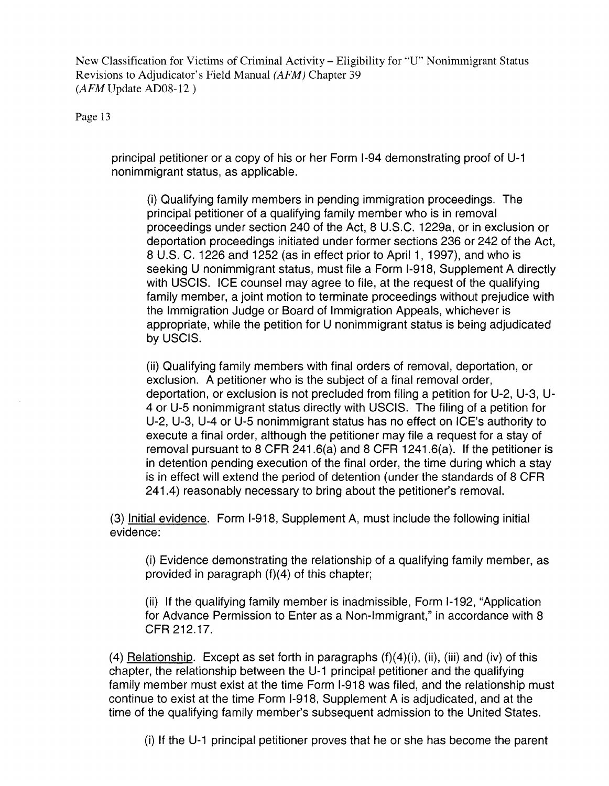Page 13

principal petitioner or a copy of his or her Form 1-94 demonstrating proof of U-1 nonimmigrant status, as applicable.

(i) Qualifying family members in pending immigration proceedings. The principal petitioner of a qualifying family member who is in removal proceedings under section 240 of the Act, 8 U.S.C. 1229a, or in exclusion or deportation proceedings initiated under former sections 236 or 242 of the Act, 8 U.S. C. 1226 and 1252 (as in effect prior to April 1, 1997), and who is seeking U nonimmigrant status, must file a Form 1-918, Supplement A directly with USCIS. ICE counsel may agree to file, at the request of the qualifying family member, a joint motion to terminate proceedings without prejudice with the Immigration Judge or Board of Immigration Appeals, whichever is appropriate, while the petition for U nonimmigrant status is being adjudicated by USCIS.

(ii) Qualifying family members with final orders of removal, deportation, or exclusion. A petitioner who is the subject of a final removal order, deportation, or exclusion is not precluded from filing a petition for U-2, U-3, U-4 or U-5 nonimmigrant status directly with USCIS. The filing of a petition for U-2, U-3, U-4 or U-5 nonimmigrant status has no effect on ICE's authority to execute a final order, although the petitioner may file a request for a stay of removal pursuant to 8 CFR 241.6(a) and 8 CFR 1241.6(a). If the petitioner is in detention pending execution of the final order, the time during which a stay is in effect will extend the period of detention (under the standards of 8 CFR 241.4) reasonably necessary to bring about the petitioner's removal.

(3) Initial evidence. Form 1-918, Supplement A, must include the following initial evidence:

(i) Evidence demonstrating the relationship of a qualifying family member, as provided in paragraph  $(f)(4)$  of this chapter;

(ii) If the qualifying family member is inadmissible, Form 1-192, "Application for Advance Permission to Enter as a Non-Immigrant," in accordance with 8 CFR212.17.

(4) Relationship. Except as set forth in paragraphs  $(f)(4)(i)$ ,  $(ii)$ ,  $(iii)$  and  $(iv)$  of this chapter, the relationship between the U-1 principal petitioner and the qualifying family member must exist at the time Form 1-918 was filed, and the relationship must continue to exist at the time Form 1-918, Supplement A is adjudicated, and at the time of the qualifying family member's subsequent admission to the United States.

(i) If the U-1 principal petitioner proves that he or she has become the parent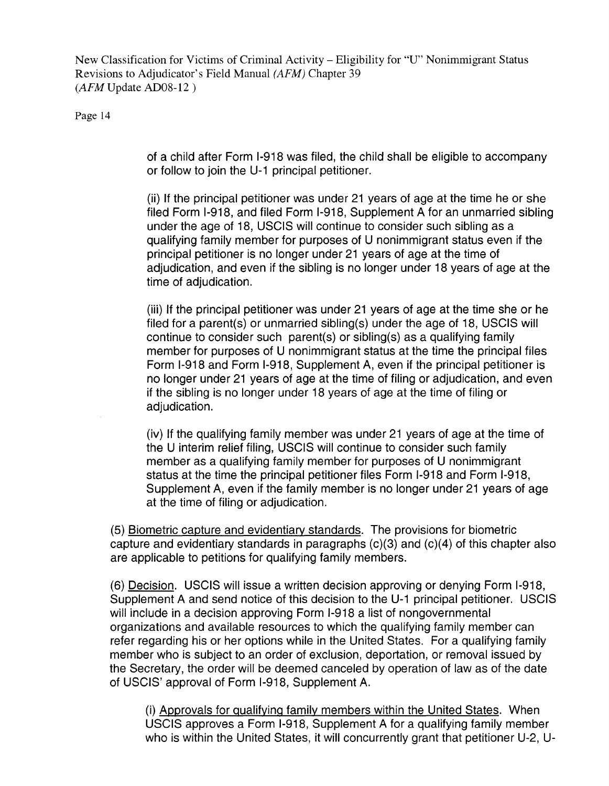Page 14

of a child after Form 1-918 was filed, the child shall be eligible to accompany or follow to join the U-1 principal petitioner.

(ii) If the principal petitioner was under 21 years of age at the time he or she filed Form 1-918, and filed Form 1-918, Supplement A for an unmarried sibling under the age of 18, USCIS will continue to consider such sibling as a qualifying family member for purposes of U nonimmigrant status even if the principal petitioner is no longer under 21 years of age at the time of adjudication, and even if the sibling is no longer under 18 years of age at the time of adjudication.

(iii) If the principal petitioner was under 21 years of age at the time she or he filed for a parent(s) or unmarried sibling(s) under the age of 18, USCIS will continue to consider such parent(s) or sibling(s) as a qualifying family member for purposes of U nonimmigrant status at the time the principal files Form 1-918 and Form 1-918, Supplement A, even if the principal petitioner is no longer under 21 years of age at the time of filing or adjudication, and even if the sibling is no longer under 18 years of age at the time of filing or adiudication.

(iv) If the qualifying family member was under 21 years of age at the time of the U interim relief filing, USCIS will continue to consider such family member as a qualifying family member for purposes of U nonimmigrant status at the time the principal petitioner files Form 1-918 and Form 1-918, Supplement A, even if the family member is no longer under 21 years of age at the time of filing or adjudication.

(5) Biometric capture and evidentiary standards. The provisions for biometric capture and evidentiary standards in paragraphs (c)(3) and (c)(4) of this chapter also are applicable to petitions for qualifying family members.

(6) Decision. USCIS will issue a written decision approving or denying Form 1-918, Supplement A and send notice of this decision to the U-1 principal petitioner. USCIS will include in a decision approving Form 1-918 a list of nongovernmental organizations and available resources to which the qualifying family member can refer regarding his or her options while in the United States. For a qualifying family member who is subject to an order of exclusion, deportation, or removal issued by the Secretary, the order will be deemed canceled by operation of law as of the date of USCIS' approval of Form 1-918, Supplement A.

(i) Approvals for qualifying family members within the United States. When USCIS approves a Form 1-918, Supplement A for a qualifying family member who is within the United States, it will concurrently grant that petitioner U-2, U-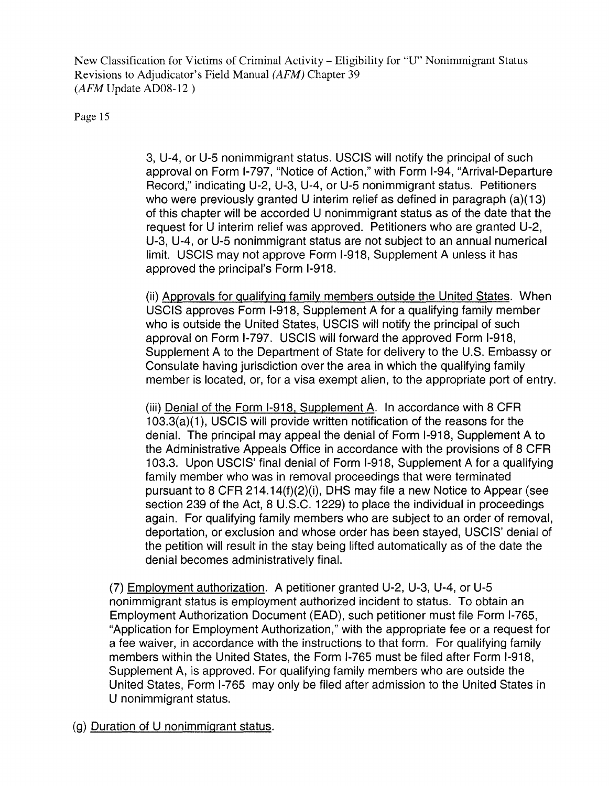Page 15

3, U-4, or U-5 nonimmigrant status. USCIS will notify the principal of such approval on Form 1-797, "Notice of Action," with Form 1-94, "Arrival-Departure Record," indicating U-2, U-3, U-4, or U-5 nonimmigrant status. Petitioners who were previously granted U interim relief as defined in paragraph (a)(13) of this chapter will be accorded U nonimmigrant status as of the date that the request for U interim relief was approved. Petitioners who are granted U-2, U-3, U-4, or U-5 nonimmigrant status are not subject to an annual numerical limit. USCIS may not approve Form 1-918, Supplement A unless it has approved the principal's Form 1-918.

(ii) Approvals for qualifying family members outside the United States. When USCIS approves Form 1-918, Supplement A for a qualifying family member who is outside the United States, USCIS will notify the principal of such approval on Form 1-797. USCIS will forward the approved Form 1-918, Supplement A to the Department of State for delivery to the U.S. Embassy or Consulate having jurisdiction over the area in which the qualifying family member is located, or, for a visa exempt alien, to the appropriate port of entry.

(iii) Denial of the Form 1-918, Supplement A. In accordance with 8 CFR 1 03.3(a)(1), USCIS will provide written notification of the reasons for the denial. The principal may appeal the denial of Form 1-918, Supplement A to the Administrative Appeals Office in accordance with the provisions of 8 CFR 103.3. Upon USCIS' final denial of Form 1-918, Supplement A for a qualifying family member who was in removal proceedings that were terminated pursuant to 8 CFR 214.14(f)(2)(i), DHS may file a new Notice to Appear (see section 239 of the Act, 8 U.S.C. 1229) to place the individual in proceedings again. For qualifying family members who are subject to an order of removal, deportation, or exclusion and whose order has been stayed, USCIS' denial of the petition will result in the stay being lifted automatically as of the date the denial becomes administratively final.

(7) Employment authorization. A petitioner granted U-2, U-3, U-4, or U-5 nonimmigrant status is employment authorized incident to status. To obtain an Employment Authorization Document (EAD), such petitioner must file Form 1-765, "Application for Employment Authorization," with the appropriate fee or a request for a fee waiver, in accordance with the instructions to that form. For qualifying family members within the United States, the Form 1-765 must be filed after Form 1-918, Supplement A, is approved. For qualifying family members who are outside the United States, Form 1-765 may only be filed after admission to the United States in U nonimmigrant status.

(g) Duration of U nonimmigrant status.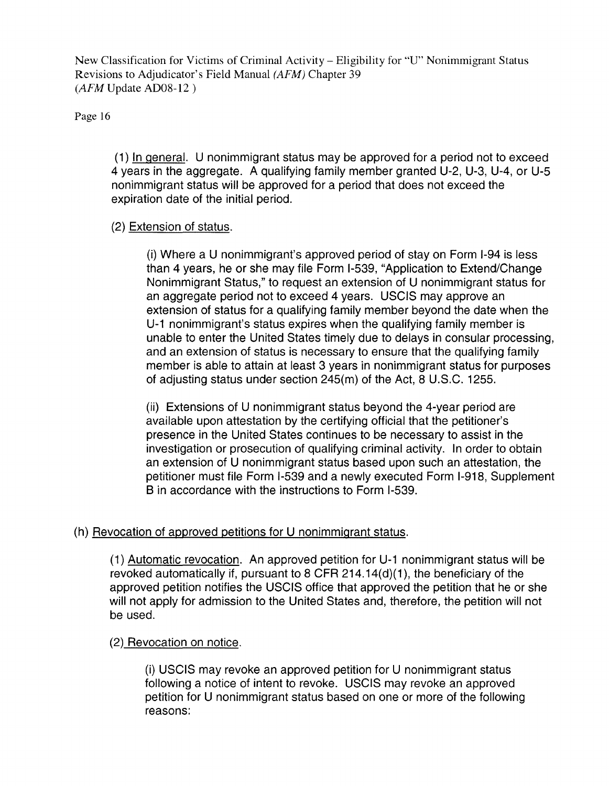Page 16

(1) In general. U nonimmigrant status may be approved for a period not to exceed 4 years in the aggregate. A qualifying family member granted U-2, U-3, U-4, or U-5 nonimmigrant status will be approved for a period that does not exceed the expiration date of the initial period.

### (2) Extension of status.

(i) Where a U nonimmigrant's approved period of stay on Form 1-94 is less than 4 years, he or she may file Form 1-539, "Application to Extend/Change Nonimmigrant Status," to request an extension of U nonimmigrant status for an aggregate period not to exceed 4 years. USCIS may approve an extension of status for a qualifying family member beyond the date when the U-1 nonimmigrant's status expires when the qualifying family member is unable to enter the United States timely due to delays in consular processing, and an extension of status is necessary to ensure that the qualifying family member is able to attain at least 3 years in nonimmigrant status for purposes of adjusting status under section 245(m) of the Act, 8 U.S.C. 1255.

(ii) Extensions of U nonimmigrant status beyond the 4-year period are available upon attestation by the certifying official that the petitioner's presence in the United States continues to be necessary to assist in the investigation or prosecution of qualifying criminal activity. In order to obtain an extension of U nonimmigrant status based upon such an attestation, the petitioner must file Form 1-539 and a newly executed Form 1-918, Supplement B in accordance with the instructions to Form 1-539.

## (h) Revocation of approved petitions for U nonimmigrant status.

(1) Automatic revocation. An approved petition for U-1 nonimmigrant status will be revoked automatically if, pursuant to 8 CFR 214.14(d)(1), the beneficiary of the approved petition notifies the USCIS office that approved the petition that he or she will not apply for admission to the United States and, therefore, the petition will not be used.

#### (2) Revocation on notice.

(i) USCIS may revoke an approved petition for U nonimmigrant status following a notice of intent to revoke. USCIS may revoke an approved petition for U nonimmigrant status based on one or more of the following reasons: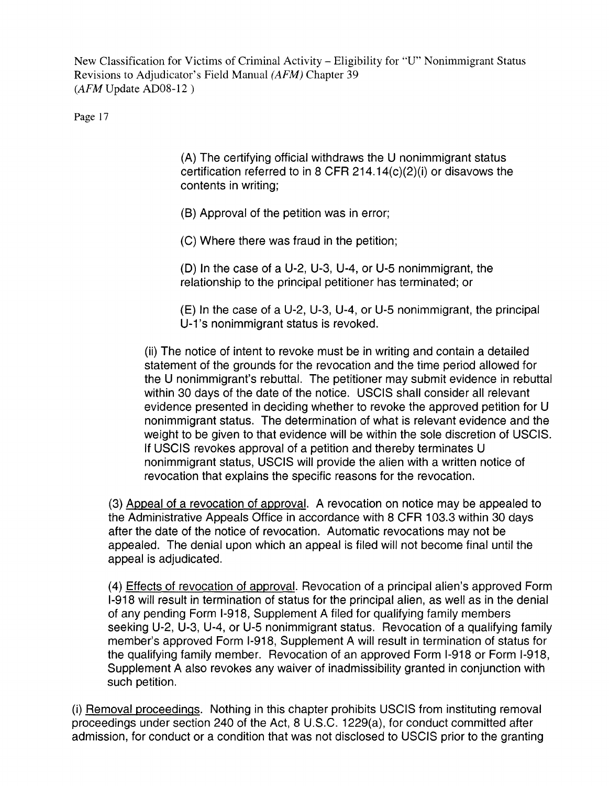Page 17

(A) The certifying official withdraws the U nonimmigrant status certification referred to in 8 CFR 214.14( $c$ )(2)(i) or disavows the contents in writing;

(8) Approval of the petition was in error;

(C) Where there was fraud in the petition;

(0) In the case of a U-2, U-3, U-4, or U-5 nonimmigrant, the relationship to the principal petitioner has terminated; or

(E) In the case of a U-2, U-3, U-4, or U-5 nonimmigrant, the principal U-1's nonimmigrant status is revoked.

(ii) The notice of intent to revoke must be in writing and contain a detailed statement of the grounds for the revocation and the time period allowed for the U nonimmigrant's rebuttal. The petitioner may submit evidence in rebuttal within 30 days of the date of the notice. USCIS shall consider all relevant evidence presented in deciding whether to revoke the approved petition for U nonimmigrant status. The determination of what is relevant evidence and the weight to be given to that evidence will be within the sole discretion of USCIS. If USCIS revokes approval of a petition and thereby terminates U nonimmigrant status, USCIS will provide the alien with a written notice of revocation that explains the specific reasons for the revocation.

(3) Appeal of a revocation of approval. A revocation on notice may be appealed to the Administrative Appeals Office in accordance with 8 CFR 103.3 within 30 days after the date of the notice of revocation. Automatic revocations may not be appealed. The denial upon which an appeal is filed will not become final until the appeal is adjudicated.

(4) Effects of revocation of approval. Revocation of a principal alien's approved Form 1-918 will result in termination of status for the principal alien, as well as in the denial of any pending Form 1-918, Supplement A filed for qualifying family members seeking U-2, U-3, U-4, or U-5 nonimmigrant status. Revocation of a qualifying family member's approved Form 1-918, Supplement A will result in termination of status for the qualifying family member. Revocation of an approved Form 1-918 or Form 1-918, Supplement A also revokes any waiver of inadmissibility granted in conjunction with such petition.

(i) Removal proceedings. Nothing in this chapter prohibits USCIS from instituting removal proceedings under section 240 of the Act, 8 U.S.C. 1229(a), for conduct committed after admission, for conduct or a condition that was not disclosed to USCIS prior to the granting